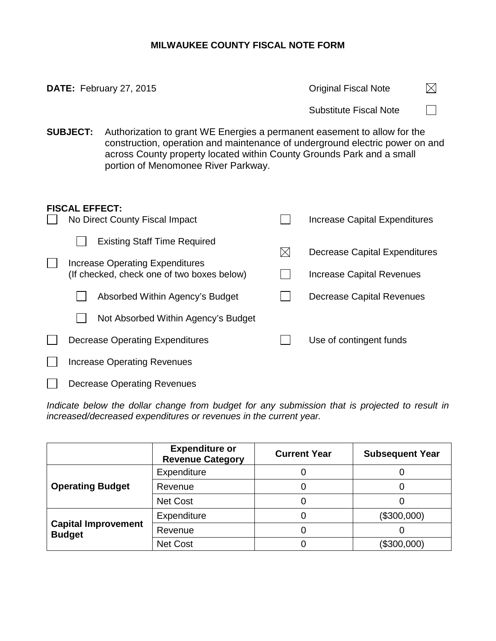## **MILWAUKEE COUNTY FISCAL NOTE FORM**

|                                                         |  | DATE: February 27, 2015                                                                                                                                                                                                                                                  | <b>Original Fiscal Note</b>   |                                                                                                              |  |  |  |
|---------------------------------------------------------|--|--------------------------------------------------------------------------------------------------------------------------------------------------------------------------------------------------------------------------------------------------------------------------|-------------------------------|--------------------------------------------------------------------------------------------------------------|--|--|--|
|                                                         |  |                                                                                                                                                                                                                                                                          |                               | <b>Substitute Fiscal Note</b>                                                                                |  |  |  |
| <b>SUBJECT:</b>                                         |  | Authorization to grant WE Energies a permanent easement to allow for the<br>construction, operation and maintenance of underground electric power on and<br>across County property located within County Grounds Park and a small<br>portion of Menomonee River Parkway. |                               |                                                                                                              |  |  |  |
| <b>FISCAL EFFECT:</b><br>No Direct County Fiscal Impact |  |                                                                                                                                                                                                                                                                          | Increase Capital Expenditures |                                                                                                              |  |  |  |
|                                                         |  | <b>Existing Staff Time Required</b><br><b>Increase Operating Expenditures</b><br>(If checked, check one of two boxes below)<br>Absorbed Within Agency's Budget<br>Not Absorbed Within Agency's Budget                                                                    | $\boxtimes$                   | <b>Decrease Capital Expenditures</b><br><b>Increase Capital Revenues</b><br><b>Decrease Capital Revenues</b> |  |  |  |
|                                                         |  | <b>Decrease Operating Expenditures</b><br><b>Increase Operating Revenues</b>                                                                                                                                                                                             |                               | Use of contingent funds                                                                                      |  |  |  |

Decrease Operating Revenues  $\Box$ 

*Indicate below the dollar change from budget for any submission that is projected to result in increased/decreased expenditures or revenues in the current year.*

|                                             | <b>Expenditure or</b><br><b>Revenue Category</b> | <b>Current Year</b> | <b>Subsequent Year</b> |
|---------------------------------------------|--------------------------------------------------|---------------------|------------------------|
|                                             | Expenditure                                      |                     |                        |
| <b>Operating Budget</b>                     | Revenue                                          |                     |                        |
|                                             | Net Cost                                         |                     |                        |
|                                             | Expenditure                                      |                     | (\$300,000)            |
| <b>Capital Improvement</b><br><b>Budget</b> | Revenue                                          |                     |                        |
|                                             | Net Cost                                         |                     | (\$300,000)            |